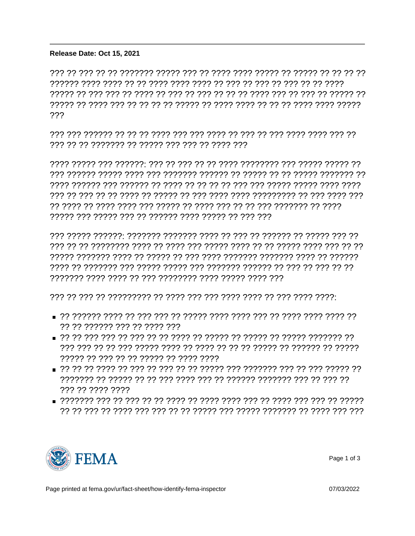## 'ÌA 'Ì 'ÌE 'Ò ©Ò 'F3~©y1 ©Ì 4F'.\* ©Ì3Ò ©Ì

Release Date: Oct 15, 2021

רר רר רר רר ררכור רר ררכור ררכור מיכן וררך רך ררך ררכור ררכורך רך רך ררך רך ררך רְרִיךְ רִיךְ רִיךְ רִיךְ רִיךְ רִיךְ רִיךְ רִיךְ רִיךְ רְרִיךְ רְרִיךְ רִיךְ רִיךְ רִיךְ רִירְךָ רִירְיִךְ רִ ???

רר רר ררך רך רך רך רך הררך רך הררכבר ררך ררכך ררכב ררכב ררך ררכברכך רך ררכך 

- 77 77 777777 777 77 7777 777
- הך הרדרדרך הרדרך רך הרדרך רך הרדרך רך הרדר רך רך רך רדר רך הרך רך הרך ה רְיִרְיָךְ רִיךְ רִירְיִרְיָךְ רִיךְ רִירְיִרְיָךְ רִיךְ רִיךְ רִיךְ רִירְיִךְ רִירְיֹךָ רְיִרְ רִיךְ רִיךְ רִיךְ רִי ????? ??? ??? ?? ?? ????? ?? ???? ????
- ??? ?? ???? ????
- 



Page 1 of 3

07/03/2022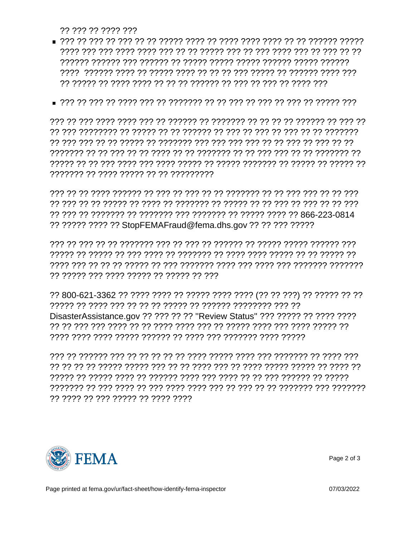?? ??? ?? ???? ???

- רררורר רורור רורור רורור הרורך רורור רורור ור רורורך רור רורורך רורור ה רור ררור רר ררך רך רך ררך רך ררוררך רך רך רך רך ררוך ררך רך ררורך רך
- 

??????? ?? ???? ????? ?? ?? ?????????

רור רר רר רך קר הרך רך רך ררכוליך רך רך רך רך רך ררך רך רך הרכוך הררך רך רך רך ?? ????? ???? ?? StopFEMAFraud@fema.dhs.gov ?? ?? ??? ?????

רור ררורר ררורך המיר הררור רך ררוררך רך ררך רך ררך ררוררך רך רך רך רוך רך ר רך רךרוך רך רך רך רוך לרך רוך רוך רך רוך רוך רך רוך רך רוך רך רך רוך רך רוך ר ?? ????? ??? ???? ????? ?? ????? ?? ???

DisasterAssistance.gov ?? ??? ?? ?? "Review Status" ??? ????? ?? ???? ????? רְרָ רְרְרִרְרָ רְרָרָךְ רְרָרָ רְרָרָךְ רְרָרְרָ רְרָרְרָ רְרָרָךְ רְרָרָךְ רְרָרָךְ רְרָרְרָ רְרָרָ רְרָךְ ר 

77 7777 77 777 77777 77 7777 7777



Page 2 of 3

Page printed at fema.gov/ur/fact-sheet/how-identify-fema-inspector

07/03/2022